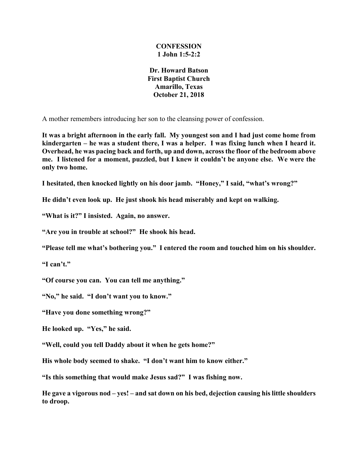## **CONFESSION 1 John 1:5-2:2**

**Dr. Howard Batson First Baptist Church Amarillo, Texas October 21, 2018**

A mother remembers introducing her son to the cleansing power of confession.

**It was a bright afternoon in the early fall. My youngest son and I had just come home from kindergarten – he was a student there, I was a helper. I was fixing lunch when I heard it. Overhead, he was pacing back and forth, up and down, across the floor of the bedroom above me. I listened for a moment, puzzled, but I knew it couldn't be anyone else. We were the only two home.**

**I hesitated, then knocked lightly on his door jamb. "Honey," I said, "what's wrong?"**

**He didn't even look up. He just shook his head miserably and kept on walking.**

**"What is it?" I insisted. Again, no answer.**

**"Are you in trouble at school?" He shook his head.**

**"Please tell me what's bothering you." I entered the room and touched him on his shoulder.**

**"I can't."**

**"Of course you can. You can tell me anything."**

**"No," he said. "I don't want you to know."**

**"Have you done something wrong?"**

**He looked up. "Yes," he said.**

**"Well, could you tell Daddy about it when he gets home?"**

**His whole body seemed to shake. "I don't want him to know either."**

**"Is this something that would make Jesus sad?" I was fishing now.**

**He gave a vigorous nod – yes! – and sat down on his bed, dejection causing his little shoulders to droop.**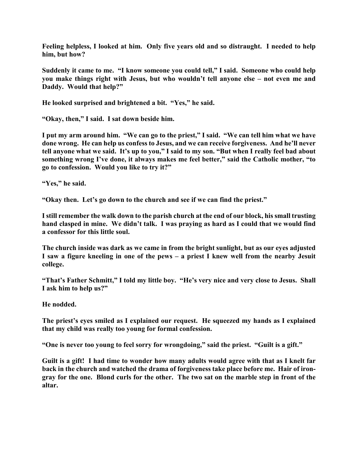**Feeling helpless, I looked at him. Only five years old and so distraught. I needed to help him, but how?**

**Suddenly it came to me. "I know someone you could tell," I said. Someone who could help you make things right with Jesus, but who wouldn't tell anyone else – not even me and Daddy. Would that help?"**

**He looked surprised and brightened a bit. "Yes," he said.**

**"Okay, then," I said. I sat down beside him.**

**I put my arm around him. "We can go to the priest," I said. "We can tell him what we have done wrong. He can help us confess to Jesus, and we can receive forgiveness. And he'll never tell anyone what we said. It's up to you," I said to my son. "But when I really feel bad about something wrong I've done, it always makes me feel better," said the Catholic mother, "to go to confession. Would you like to try it?"**

**"Yes," he said.**

**"Okay then. Let's go down to the church and see if we can find the priest."**

**I still remember the walk down to the parish church at the end of our block, his small trusting hand clasped in mine. We didn't talk. I was praying as hard as I could that we would find a confessor for this little soul.**

**The church inside was dark as we came in from the bright sunlight, but as our eyes adjusted I saw a figure kneeling in one of the pews – a priest I knew well from the nearby Jesuit college.**

**"That's Father Schmitt," I told my little boy. "He's very nice and very close to Jesus. Shall I ask him to help us?"**

**He nodded.**

**The priest's eyes smiled as I explained our request. He squeezed my hands as I explained that my child was really too young for formal confession.**

**"One is never too young to feel sorry for wrongdoing," said the priest. "Guilt is a gift."**

**Guilt is a gift! I had time to wonder how many adults would agree with that as I knelt far back in the church and watched the drama of forgiveness take place before me. Hair of irongray for the one. Blond curls for the other. The two sat on the marble step in front of the altar.**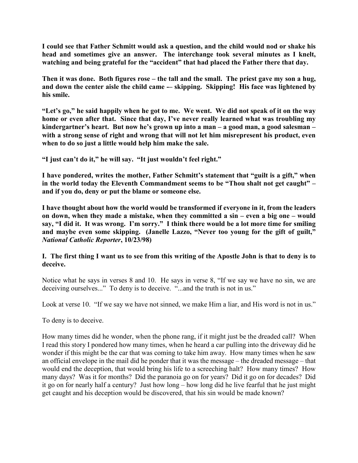**I could see that Father Schmitt would ask a question, and the child would nod or shake his head and sometimes give an answer. The interchange took several minutes as I knelt, watching and being grateful for the "accident" that had placed the Father there that day.**

**Then it was done. Both figures rose – the tall and the small. The priest gave my son a hug,**  and down the center aisle the child came -- skipping. Skipping! His face was lightened by **his smile.**

**"Let's go," he said happily when he got to me. We went. We did not speak of it on the way home or even after that. Since that day, I've never really learned what was troubling my kindergartner's heart. But now he's grown up into a man – a good man, a good salesman – with a strong sense of right and wrong that will not let him misrepresent his product, even when to do so just a little would help him make the sale.**

**"I just can't do it," he will say. "It just wouldn't feel right."**

**I have pondered, writes the mother, Father Schmitt's statement that "guilt is a gift," when in the world today the Eleventh Commandment seems to be "Thou shalt not get caught" – and if you do, deny or put the blame or someone else.**

**I have thought about how the world would be transformed if everyone in it, from the leaders on down, when they made a mistake, when they committed a sin – even a big one – would say, "I did it. It was wrong. I'm sorry." I think there would be a lot more time for smiling and maybe even some skipping. (Janelle Lazzo, "Never too young for the gift of guilt,"**  *National Catholic Reporter***, 10/23/98)**

## **I. The first thing I want us to see from this writing of the Apostle John is that to deny is to deceive.**

Notice what he says in verses 8 and 10. He says in verse 8, "If we say we have no sin, we are deceiving ourselves..." To deny is to deceive. "...and the truth is not in us."

Look at verse 10. "If we say we have not sinned, we make Him a liar, and His word is not in us."

To deny is to deceive.

How many times did he wonder, when the phone rang, if it might just be the dreaded call? When I read this story I pondered how many times, when he heard a car pulling into the driveway did he wonder if this might be the car that was coming to take him away. How many times when he saw an official envelope in the mail did he ponder that it was the message – the dreaded message – that would end the deception, that would bring his life to a screeching halt? How many times? How many days? Was it for months? Did the paranoia go on for years? Did it go on for decades? Did it go on for nearly half a century? Just how long – how long did he live fearful that he just might get caught and his deception would be discovered, that his sin would be made known?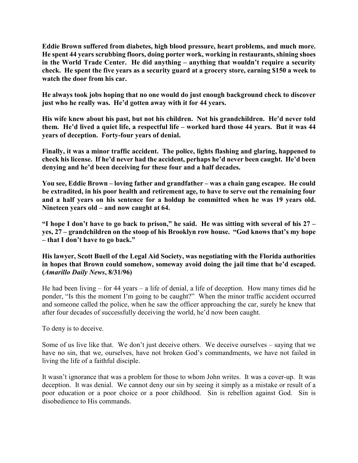**Eddie Brown suffered from diabetes, high blood pressure, heart problems, and much more. He spent 44 years scrubbing floors, doing porter work, working in restaurants, shining shoes in the World Trade Center. He did anything – anything that wouldn't require a security check. He spent the five years as a security guard at a grocery store, earning \$150 a week to watch the door from his car.**

**He always took jobs hoping that no one would do just enough background check to discover just who he really was. He'd gotten away with it for 44 years.**

**His wife knew about his past, but not his children. Not his grandchildren. He'd never told them. He'd lived a quiet life, a respectful life – worked hard those 44 years. But it was 44 years of deception. Forty-four years of denial.**

**Finally, it was a minor traffic accident. The police, lights flashing and glaring, happened to check his license. If he'd never had the accident, perhaps he'd never been caught. He'd been denying and he'd been deceiving for these four and a half decades.**

**You see, Eddie Brown – loving father and grandfather – was a chain gang escapee. He could be extradited, in his poor health and retirement age, to have to serve out the remaining four and a half years on his sentence for a holdup he committed when he was 19 years old. Nineteen years old – and now caught at 64.**

**"I hope I don't have to go back to prison," he said. He was sitting with several of his 27 – yes, 27 – grandchildren on the stoop of his Brooklyn row house. "God knows that's my hope – that I don't have to go back."**

**His lawyer, Scott Buell of the Legal Aid Society, was negotiating with the Florida authorities in hopes that Brown could somehow, someway avoid doing the jail time that he'd escaped. (***Amarillo Daily News***, 8/31/96)**

He had been living – for 44 years – a life of denial, a life of deception. How many times did he ponder, "Is this the moment I'm going to be caught?" When the minor traffic accident occurred and someone called the police, when he saw the officer approaching the car, surely he knew that after four decades of successfully deceiving the world, he'd now been caught.

To deny is to deceive.

Some of us live like that. We don't just deceive others. We deceive ourselves – saying that we have no sin, that we, ourselves, have not broken God's commandments, we have not failed in living the life of a faithful disciple.

It wasn't ignorance that was a problem for those to whom John writes. It was a cover-up. It was deception. It was denial. We cannot deny our sin by seeing it simply as a mistake or result of a poor education or a poor choice or a poor childhood. Sin is rebellion against God. Sin is disobedience to His commands.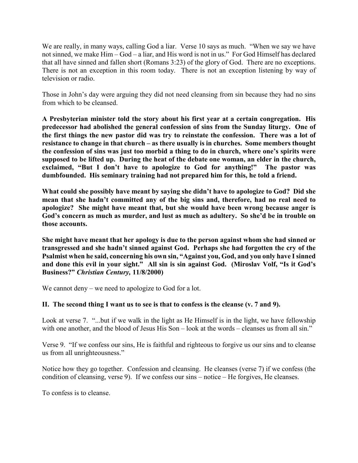We are really, in many ways, calling God a liar. Verse 10 says as much. "When we say we have not sinned, we make Him – God – a liar, and His word is not in us." For God Himself has declared that all have sinned and fallen short (Romans 3:23) of the glory of God. There are no exceptions. There is not an exception in this room today. There is not an exception listening by way of television or radio.

Those in John's day were arguing they did not need cleansing from sin because they had no sins from which to be cleansed.

**A Presbyterian minister told the story about his first year at a certain congregation. His predecessor had abolished the general confession of sins from the Sunday liturgy. One of the first things the new pastor did was try to reinstate the confession. There was a lot of resistance to change in that church – as there usually is in churches. Some members thought the confession of sins was just too morbid a thing to do in church, where one's spirits were supposed to be lifted up. During the heat of the debate one woman, an elder in the church, exclaimed, "But I don't have to apologize to God for anything!" The pastor was dumbfounded. His seminary training had not prepared him for this, he told a friend.** 

**What could she possibly have meant by saying she didn't have to apologize to God? Did she mean that she hadn't committed any of the big sins and, therefore, had no real need to apologize? She might have meant that, but she would have been wrong because anger is God's concern as much as murder, and lust as much as adultery. So she'd be in trouble on those accounts.**

**She might have meant that her apology is due to the person against whom she had sinned or transgressed and she hadn't sinned against God. Perhaps she had forgotten the cry of the Psalmist when he said, concerning his own sin, "Against you, God, and you only have I sinned and done this evil in your sight." All sin is sin against God. (Miroslav Volf, "Is it God's Business?"** *Christian Century,* **11/8/2000)**

We cannot deny – we need to apologize to God for a lot.

## **II. The second thing I want us to see is that to confess is the cleanse (v. 7 and 9).**

Look at verse 7. "...but if we walk in the light as He Himself is in the light, we have fellowship with one another, and the blood of Jesus His Son – look at the words – cleanses us from all sin."

Verse 9. "If we confess our sins, He is faithful and righteous to forgive us our sins and to cleanse us from all unrighteousness."

Notice how they go together. Confession and cleansing. He cleanses (verse 7) if we confess (the condition of cleansing, verse 9). If we confess our sins – notice – He forgives, He cleanses.

To confess is to cleanse.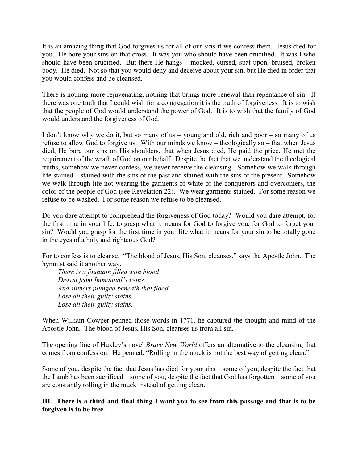It is an amazing thing that God forgives us for all of our sins if we confess them. Jesus died for you. He bore your sins on that cross. It was you who should have been crucified. It was I who should have been crucified. But there He hangs – mocked, cursed, spat upon, bruised, broken body. He died. Not so that you would deny and deceive about your sin, but He died in order that you would confess and be cleansed.

There is nothing more rejuvenating, nothing that brings more renewal than repentance of sin. If there was one truth that I could wish for a congregation it is the truth of forgiveness. It is to wish that the people of God would understand the power of God. It is to wish that the family of God would understand the forgiveness of God.

I don't know why we do it, but so many of us – young and old, rich and poor – so many of us refuse to allow God to forgive us. With our minds we know – theologically so – that when Jesus died, He bore our sins on His shoulders, that when Jesus died, He paid the price, He met the requirement of the wrath of God on our behalf. Despite the fact that we understand the theological truths, somehow we never confess, we never receive the cleansing. Somehow we walk through life stained – stained with the sins of the past and stained with the sins of the present. Somehow we walk through life not wearing the garments of white of the conquerors and overcomers, the color of the people of God (see Revelation 22). We wear garments stained. For some reason we refuse to be washed. For some reason we refuse to be cleansed.

Do you dare attempt to comprehend the forgiveness of God today? Would you dare attempt, for the first time in your life, to grasp what it means for God to forgive you, for God to forget your sin? Would you grasp for the first time in your life what it means for your sin to be totally gone in the eyes of a holy and righteous God?

For to confess is to cleanse. "The blood of Jesus, His Son, cleanses," says the Apostle John. The hymnist said it another way.

*There is a fountain filled with blood Drawn from Immanual's veins. And sinners plunged beneath that flood, Lose all their guilty stains. Lose all their guilty stains.*

When William Cowper penned those words in 1771, he captured the thought and mind of the Apostle John. The blood of Jesus, His Son, cleanses us from all sin.

The opening line of Huxley's novel *Brave New World* offers an alternative to the cleansing that comes from confession. He penned, "Rolling in the muck is not the best way of getting clean."

Some of you, despite the fact that Jesus has died for your sins – some of you, despite the fact that the Lamb has been sacrificed – some of you, despite the fact that God has forgotten – some of you are constantly rolling in the muck instead of getting clean.

**III. There is a third and final thing I want you to see from this passage and that is to be forgiven is to be free.**